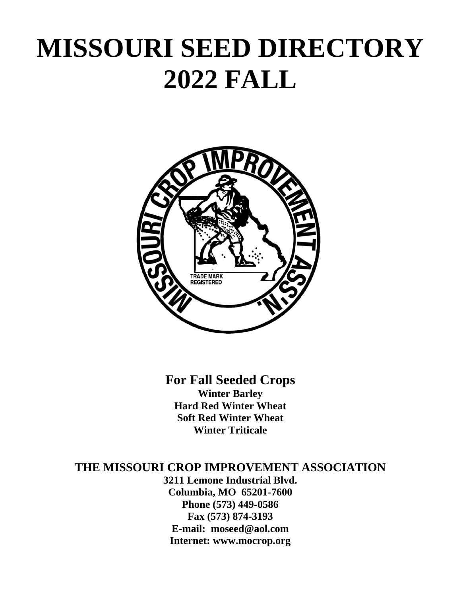# **MISSOURI SEED DIRECTORY 2022 FALL**



**For Fall Seeded Crops Winter Barley Hard Red Winter Wheat Soft Red Winter Wheat Winter Triticale** 

## **THE MISSOURI CROP IMPROVEMENT ASSOCIATION**

**3211 Lemone Industrial Blvd. Columbia, MO 65201-7600 Phone (573) 449-0586 Fax (573) 874-3193 E-mail: moseed@aol.com Internet: www.mocrop.org**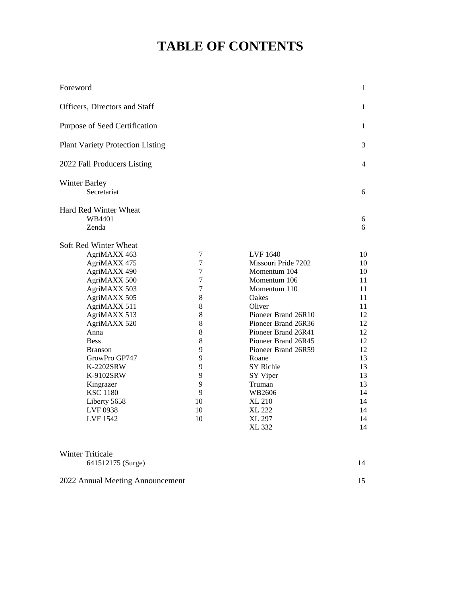## **TABLE OF CONTENTS**

| Foreword                                |                  |                     | $\mathbf{1}$ |
|-----------------------------------------|------------------|---------------------|--------------|
| Officers, Directors and Staff           |                  |                     | $\mathbf{1}$ |
| Purpose of Seed Certification           |                  |                     | 1            |
| <b>Plant Variety Protection Listing</b> |                  |                     | 3            |
| 2022 Fall Producers Listing             |                  |                     | 4            |
| <b>Winter Barley</b>                    |                  |                     |              |
| Secretariat                             |                  |                     | 6            |
| Hard Red Winter Wheat                   |                  |                     |              |
| WB4401                                  |                  |                     | 6            |
| Zenda                                   |                  |                     | 6            |
| Soft Red Winter Wheat                   |                  |                     |              |
| AgriMAXX 463                            | $\boldsymbol{7}$ | LVF 1640            | 10           |
| AgriMAXX 475                            | $\tau$           | Missouri Pride 7202 | 10           |
| AgriMAXX 490                            | $\overline{7}$   | Momentum 104        | 10           |
| AgriMAXX 500                            | $\tau$           | Momentum 106        | 11           |
| AgriMAXX 503                            | $\tau$           | Momentum 110        | 11           |
| AgriMAXX 505                            | 8                | Oakes               | 11           |
| AgriMAXX 511                            | 8                | Oliver              | 11           |
| AgriMAXX 513                            | 8                | Pioneer Brand 26R10 | 12           |
| AgriMAXX 520                            | 8                | Pioneer Brand 26R36 | 12           |
| Anna                                    | 8                | Pioneer Brand 26R41 | 12           |
| <b>Bess</b>                             | 8                | Pioneer Brand 26R45 | 12           |
| <b>Branson</b>                          | 9                | Pioneer Brand 26R59 | 12           |
| GrowPro GP747                           | 9                | Roane               | 13           |
| K-2202SRW                               | 9                | SY Richie           | 13           |
| K-9102SRW                               | 9                | SY Viper            | 13           |
| Kingrazer                               | 9                | Truman              | 13           |
| <b>KSC 1180</b>                         | 9                | WB2606              | 14           |
| Liberty 5658                            | 10               | <b>XL 210</b>       | 14           |
| LVF 0938                                | 10               | <b>XL 222</b>       | 14           |
| LVF 1542                                | 10               | <b>XL 297</b>       | 14           |
|                                         |                  | XL 332              | 14           |

| Winter Triticale  |    |
|-------------------|----|
| 641512175 (Surge) | 14 |

2022 Annual Meeting Announcement 15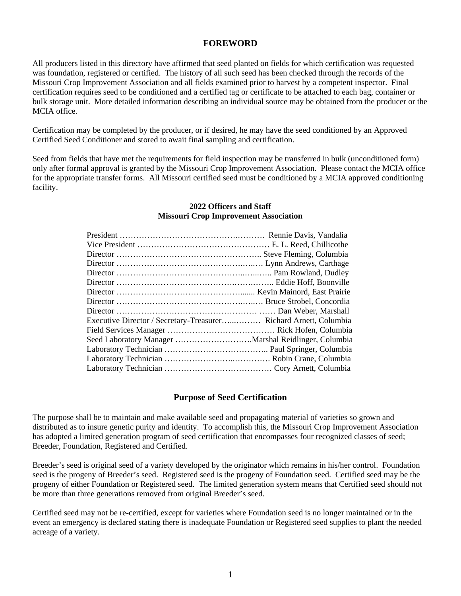## **FOREWORD**

All producers listed in this directory have affirmed that seed planted on fields for which certification was requested was foundation, registered or certified. The history of all such seed has been checked through the records of the Missouri Crop Improvement Association and all fields examined prior to harvest by a competent inspector. Final certification requires seed to be conditioned and a certified tag or certificate to be attached to each bag, container or bulk storage unit. More detailed information describing an individual source may be obtained from the producer or the MCIA office.

Certification may be completed by the producer, or if desired, he may have the seed conditioned by an Approved Certified Seed Conditioner and stored to await final sampling and certification.

Seed from fields that have met the requirements for field inspection may be transferred in bulk (unconditioned form) only after formal approval is granted by the Missouri Crop Improvement Association. Please contact the MCIA office for the appropriate transfer forms. All Missouri certified seed must be conditioned by a MCIA approved conditioning facility.

## **2022 Officers and Staff Missouri Crop Improvement Association**

| Executive Director / Secretary-Treasurer Richard Arnett, Columbia |  |
|-------------------------------------------------------------------|--|
|                                                                   |  |
|                                                                   |  |
|                                                                   |  |
|                                                                   |  |
|                                                                   |  |
|                                                                   |  |

## **Purpose of Seed Certification**

The purpose shall be to maintain and make available seed and propagating material of varieties so grown and distributed as to insure genetic purity and identity. To accomplish this, the Missouri Crop Improvement Association has adopted a limited generation program of seed certification that encompasses four recognized classes of seed; Breeder, Foundation, Registered and Certified.

Breeder's seed is original seed of a variety developed by the originator which remains in his/her control. Foundation seed is the progeny of Breeder's seed. Registered seed is the progeny of Foundation seed. Certified seed may be the progeny of either Foundation or Registered seed. The limited generation system means that Certified seed should not be more than three generations removed from original Breeder's seed.

Certified seed may not be re-certified, except for varieties where Foundation seed is no longer maintained or in the event an emergency is declared stating there is inadequate Foundation or Registered seed supplies to plant the needed acreage of a variety.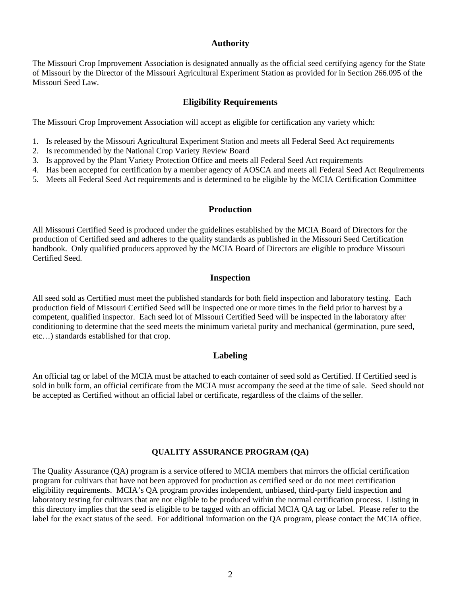## **Authority**

The Missouri Crop Improvement Association is designated annually as the official seed certifying agency for the State of Missouri by the Director of the Missouri Agricultural Experiment Station as provided for in Section 266.095 of the Missouri Seed Law.

## **Eligibility Requirements**

The Missouri Crop Improvement Association will accept as eligible for certification any variety which:

- 1. Is released by the Missouri Agricultural Experiment Station and meets all Federal Seed Act requirements
- 2. Is recommended by the National Crop Variety Review Board
- 3. Is approved by the Plant Variety Protection Office and meets all Federal Seed Act requirements
- 4. Has been accepted for certification by a member agency of AOSCA and meets all Federal Seed Act Requirements
- 5. Meets all Federal Seed Act requirements and is determined to be eligible by the MCIA Certification Committee

## **Production**

All Missouri Certified Seed is produced under the guidelines established by the MCIA Board of Directors for the production of Certified seed and adheres to the quality standards as published in the Missouri Seed Certification handbook. Only qualified producers approved by the MCIA Board of Directors are eligible to produce Missouri Certified Seed.

## **Inspection**

All seed sold as Certified must meet the published standards for both field inspection and laboratory testing. Each production field of Missouri Certified Seed will be inspected one or more times in the field prior to harvest by a competent, qualified inspector. Each seed lot of Missouri Certified Seed will be inspected in the laboratory after conditioning to determine that the seed meets the minimum varietal purity and mechanical (germination, pure seed, etc…) standards established for that crop.

## **Labeling**

An official tag or label of the MCIA must be attached to each container of seed sold as Certified. If Certified seed is sold in bulk form, an official certificate from the MCIA must accompany the seed at the time of sale. Seed should not be accepted as Certified without an official label or certificate, regardless of the claims of the seller.

## **QUALITY ASSURANCE PROGRAM (QA)**

The Quality Assurance (QA) program is a service offered to MCIA members that mirrors the official certification program for cultivars that have not been approved for production as certified seed or do not meet certification eligibility requirements. MCIA's QA program provides independent, unbiased, third-party field inspection and laboratory testing for cultivars that are not eligible to be produced within the normal certification process. Listing in this directory implies that the seed is eligible to be tagged with an official MCIA QA tag or label. Please refer to the label for the exact status of the seed. For additional information on the QA program, please contact the MCIA office.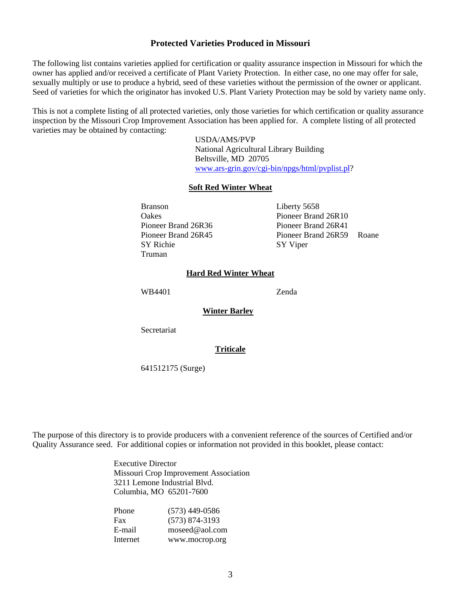## **Protected Varieties Produced in Missouri**

The following list contains varieties applied for certification or quality assurance inspection in Missouri for which the owner has applied and/or received a certificate of Plant Variety Protection. In either case, no one may offer for sale, sexually multiply or use to produce a hybrid, seed of these varieties without the permission of the owner or applicant. Seed of varieties for which the originator has invoked U.S. Plant Variety Protection may be sold by variety name only.

This is not a complete listing of all protected varieties, only those varieties for which certification or quality assurance inspection by the Missouri Crop Improvement Association has been applied for. A complete listing of all protected varieties may be obtained by contacting:

> USDA/AMS/PVP National Agricultural Library Building Beltsville, MD 20705 www.ars-grin.gov/cgi-bin/npgs/html/pvplist.pl?

## **Soft Red Winter Wheat**

Branson Liberty 5658 SY Richie SY Viper Truman

 Oakes Pioneer Brand 26R10 Pioneer Brand 26R36 Pioneer Brand 26R41 Pioneer Brand 26R45 Pioneer Brand 26R59 Roane

## **Hard Red Winter Wheat**

WB4401 Zenda

**Winter Barley** 

**Secretariat** 

## **Triticale**

641512175 (Surge)

The purpose of this directory is to provide producers with a convenient reference of the sources of Certified and/or Quality Assurance seed. For additional copies or information not provided in this booklet, please contact:

> Executive Director Missouri Crop Improvement Association 3211 Lemone Industrial Blvd. Columbia, MO 65201-7600

| Phone    | $(573)$ 449-0586 |
|----------|------------------|
| Fax      | $(573)$ 874-3193 |
| E-mail   | moseed@aol.com   |
| Internet | www.mocrop.org   |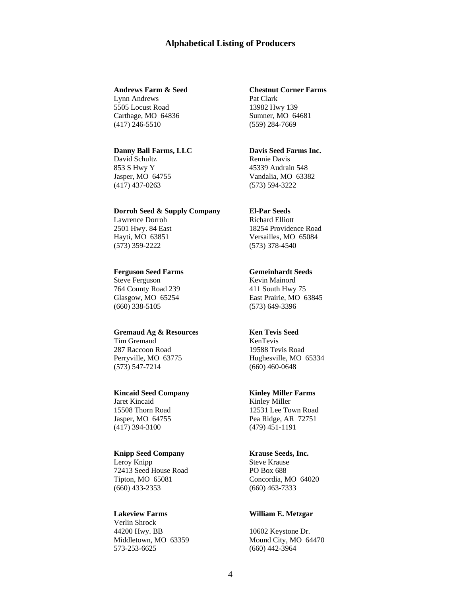## **Alphabetical Listing of Producers**

Lynn Andrews Pat Clark 5505 Locust Road 13982 Hwy 139 Carthage, MO 64836 Sumner, MO 64681 (417) 246-5510 (559) 284-7669

### **Danny Ball Farms, LLC Davis Seed Farms Inc.**

David Schultz Rennie Davis (417) 437-0263 (573) 594-3222

### **Dorroh Seed & Supply Company El-Par Seeds**

Lawrence Dorroh Richard Elliott (573) 359-2222 (573) 378-4540

### **Ferguson Seed Farms Gemeinhardt Seeds**

Steve Ferguson Kevin Mainord 764 County Road 239 411 South Hwy 75 (660) 338-5105 (573) 649-3396

### Gremaud Ag & Resources **Ken Tevis Seed**

Tim Gremaud KenTevis 287 Raccoon Road 19588 Tevis Road (573) 547-7214 (660) 460-0648

## **Kincaid Seed Company Kinley Miller Farms**

Jaret Kincaid Kinley Miller (417) 394-3100 (479) 451-1191

## **Knipp Seed Company Krause Seeds, Inc.**

Leroy Knipp Steve Krause 72413 Seed House Road PO Box 688 Tipton, MO 65081 Concordia, MO 64020 (660) 433-2353 (660) 463-7333

Verlin Shrock 44200 Hwy. BB 10602 Keystone Dr. Middletown, MO 63359 Mound City, MO 64470 573-253-6625 (660) 442-3964

### **Andrews Farm & Seed Chestnut Corner Farms**

853 S Hwy Y 45339 Audrain 548 Jasper, MO 64755 Vandalia, MO 63382

2501 Hwy. 84 East 18254 Providence Road Hayti, MO 63851 Versailles, MO 65084

Glasgow, MO 65254 East Prairie, MO 63845

Perryville, MO 63775 Hughesville, MO 65334

15508 Thorn Road 12531 Lee Town Road Jasper, MO 64755 Pea Ridge, AR 72751

### **Lakeview Farms William E. Metzgar**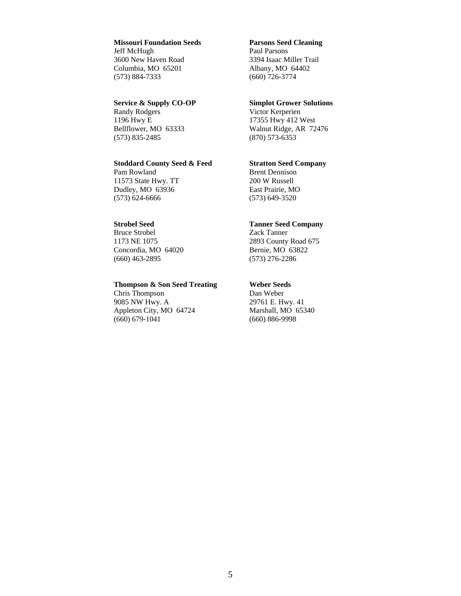## **Missouri Foundation Seeds Parsons Seed Cleaning**

Jeff McHugh Paul Parsons 3600 New Haven Road 3394 Isaac Miller Trail Columbia, MO 65201 Albany, MO 64402 (573) 884-7333 (660) 726-3774

### **Service & Supply CO-OP** Simplot Grower Solutions

Randy Rodgers Victor Kerperien<br>1196 Hwy E 17355 Hwy 412 V (573) 835-2485 (870) 573-6353

### **Stoddard County Seed & Feed Stratton Seed Company**

Pam Rowland Brent Dennison 11573 State Hwy. TT 200 W Russell Dudley, MO 63936 East Prairie, MO (573) 624-6666 (573) 649-3520

Bruce Strobel Zack Tanner 1173 NE 1075 2893 County Road 675 Concordia, MO 64020 Bernie, MO 63822 (660) 463-2895 (573) 276-2286

## **Thompson & Son Seed Treating Weber Seeds**

Chris Thompson Dan Weber 9085 NW Hwy. A 29761 E. Hwy. 41 Appleton City, MO 64724 Marshall, MO 65340<br>(660) 679-1041 (660) 886-9998

17355 Hwy 412 West Bellflower, MO 63333 Walnut Ridge, AR 72476

## **Strobel Seed Tanner Seed Company**

(660) 886-9998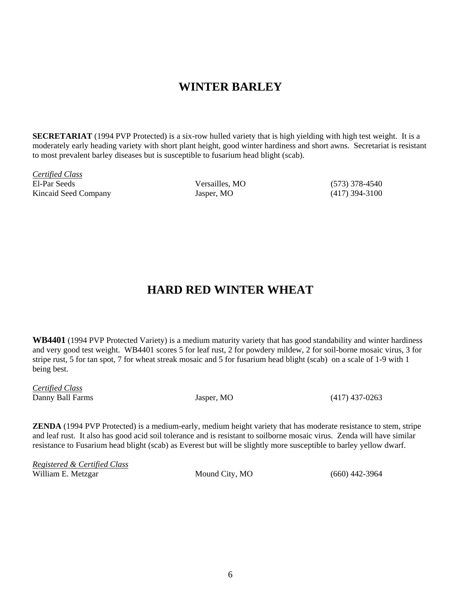## **WINTER BARLEY**

**SECRETARIAT** (1994 PVP Protected) is a six-row hulled variety that is high yielding with high test weight. It is a moderately early heading variety with short plant height, good winter hardiness and short awns. Secretariat is resistant to most prevalent barley diseases but is susceptible to fusarium head blight (scab).

*Certified Class* El-Par Seeds Versailles, MO (573) 378-4540 Kincaid Seed Company Jasper, MO (417) 394-3100

## **HARD RED WINTER WHEAT**

**WB4401** (1994 PVP Protected Variety) is a medium maturity variety that has good standability and winter hardiness and very good test weight. WB4401 scores 5 for leaf rust, 2 for powdery mildew, 2 for soil-borne mosaic virus, 3 for stripe rust, 5 for tan spot, 7 for wheat streak mosaic and 5 for fusarium head blight (scab) on a scale of 1-9 with 1 being best.

*Certified Class*  Danny Ball Farms Jasper, MO (417) 437-0263

**ZENDA** (1994 PVP Protected) is a medium-early, medium height variety that has moderate resistance to stem, stripe and leaf rust. It also has good acid soil tolerance and is resistant to soilborne mosaic virus. Zenda will have similar resistance to Fusarium head blight (scab) as Everest but will be slightly more susceptible to barley yellow dwarf.

*Registered & Certified Class*  William E. Metzgar Mound City, MO (660) 442-3964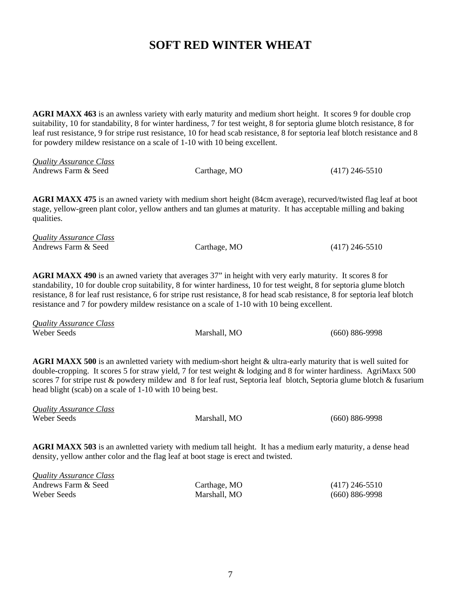## **SOFT RED WINTER WHEAT**

**AGRI MAXX 463** is an awnless variety with early maturity and medium short height. It scores 9 for double crop suitability, 10 for standability, 8 for winter hardiness, 7 for test weight, 8 for septoria glume blotch resistance, 8 for leaf rust resistance, 9 for stripe rust resistance, 10 for head scab resistance, 8 for septoria leaf blotch resistance and 8 for powdery mildew resistance on a scale of 1-10 with 10 being excellent.

| Quality Assurance Class |              |                  |
|-------------------------|--------------|------------------|
| Andrews Farm & Seed     | Carthage, MO | $(417)$ 246-5510 |

**AGRI MAXX 475** is an awned variety with medium short height (84cm average), recurved/twisted flag leaf at boot stage, yellow-green plant color, yellow anthers and tan glumes at maturity. It has acceptable milling and baking qualities.

| <b>Quality Assurance Class</b> |              |                  |
|--------------------------------|--------------|------------------|
| Andrews Farm & Seed            | Carthage, MO | $(417)$ 246-5510 |

**AGRI MAXX 490** is an awned variety that averages 37" in height with very early maturity. It scores 8 for standability, 10 for double crop suitability, 8 for winter hardiness, 10 for test weight, 8 for septoria glume blotch resistance, 8 for leaf rust resistance, 6 for stripe rust resistance, 8 for head scab resistance, 8 for septoria leaf blotch resistance and 7 for powdery mildew resistance on a scale of 1-10 with 10 being excellent.

| Quality Assurance Class |              |                    |
|-------------------------|--------------|--------------------|
| Weber Seeds             | Marshall. MO | $(660) 886 - 9998$ |

AGRI MAXX 500 is an awnletted variety with medium-short height & ultra-early maturity that is well suited for double-cropping. It scores 5 for straw yield, 7 for test weight & lodging and 8 for winter hardiness. AgriMaxx 500 scores 7 for stripe rust & powdery mildew and 8 for leaf rust, Septoria leaf blotch, Septoria glume blotch & fusarium head blight (scab) on a scale of 1-10 with 10 being best.

| <b>Quality Assurance Class</b> |              |                    |
|--------------------------------|--------------|--------------------|
| Weber Seeds                    | Marshall, MO | $(660) 886 - 9998$ |
|                                |              |                    |

**AGRI MAXX 503** is an awnletted variety with medium tall height. It has a medium early maturity, a dense head density, yellow anther color and the flag leaf at boot stage is erect and twisted.

| <b>Quality Assurance Class</b> |              |                    |
|--------------------------------|--------------|--------------------|
| Andrews Farm & Seed            | Carthage, MO | $(417)$ 246-5510   |
| Weber Seeds                    | Marshall, MO | $(660) 886 - 9998$ |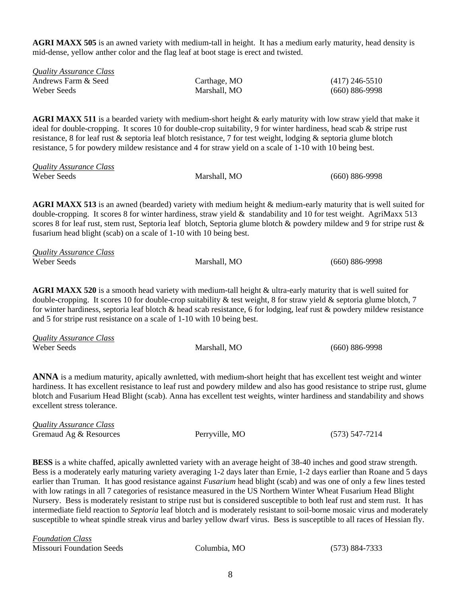**AGRI MAXX 505** is an awned variety with medium-tall in height. It has a medium early maturity, head density is mid-dense, yellow anther color and the flag leaf at boot stage is erect and twisted.

| <b>Quality Assurance Class</b> |              |                    |
|--------------------------------|--------------|--------------------|
| Andrews Farm & Seed            | Carthage, MO | $(417)$ 246-5510   |
| Weber Seeds                    | Marshall, MO | $(660) 886 - 9998$ |

**AGRI MAXX 511** is a bearded variety with medium-short height & early maturity with low straw yield that make it ideal for double-cropping. It scores 10 for double-crop suitability, 9 for winter hardiness, head scab & stripe rust resistance, 8 for leaf rust & septoria leaf blotch resistance, 7 for test weight, lodging & septoria glume blotch resistance, 5 for powdery mildew resistance and 4 for straw yield on a scale of 1-10 with 10 being best.

| <b>Quality Assurance Class</b> |              |                    |
|--------------------------------|--------------|--------------------|
| Weber Seeds                    | Marshall, MO | $(660) 886 - 9998$ |

**AGRI MAXX 513** is an awned (bearded) variety with medium height & medium-early maturity that is well suited for double-cropping. It scores 8 for winter hardiness, straw yield  $\&$  standability and 10 for test weight. AgriMaxx 513 scores 8 for leaf rust, stem rust, Septoria leaf blotch, Septoria glume blotch  $\&$  powdery mildew and 9 for stripe rust  $\&$ fusarium head blight (scab) on a scale of 1-10 with 10 being best.

| Quality Assurance Class |              |                    |
|-------------------------|--------------|--------------------|
| Weber Seeds             | Marshall. MO | $(660) 886 - 9998$ |

**AGRI MAXX 520** is a smooth head variety with medium-tall height & ultra-early maturity that is well suited for double-cropping. It scores 10 for double-crop suitability  $\&$  test weight, 8 for straw yield  $\&$  septoria glume blotch, 7 for winter hardiness, septoria leaf blotch & head scab resistance, 6 for lodging, leaf rust & powdery mildew resistance and 5 for stripe rust resistance on a scale of 1-10 with 10 being best.

| <b>Quality Assurance Class</b> |              |                    |
|--------------------------------|--------------|--------------------|
| Weber Seeds                    | Marshall, MO | $(660) 886 - 9998$ |

**ANNA** is a medium maturity, apically awnletted, with medium-short height that has excellent test weight and winter hardiness. It has excellent resistance to leaf rust and powdery mildew and also has good resistance to stripe rust, glume blotch and Fusarium Head Blight (scab). Anna has excellent test weights, winter hardiness and standability and shows excellent stress tolerance.

| <b>Quality Assurance Class</b> |                |                    |
|--------------------------------|----------------|--------------------|
| Gremaud Ag & Resources         | Perryville, MO | $(573) 547 - 7214$ |

**BESS** is a white chaffed, apically awnletted variety with an average height of 38-40 inches and good straw strength. Bess is a moderately early maturing variety averaging 1-2 days later than Ernie, 1-2 days earlier than Roane and 5 days earlier than Truman. It has good resistance against *Fusarium* head blight (scab) and was one of only a few lines tested with low ratings in all 7 categories of resistance measured in the US Northern Winter Wheat Fusarium Head Blight Nursery. Bess is moderately resistant to stripe rust but is considered susceptible to both leaf rust and stem rust. It has intermediate field reaction to *Septoria* leaf blotch and is moderately resistant to soil-borne mosaic virus and moderately susceptible to wheat spindle streak virus and barley yellow dwarf virus. Bess is susceptible to all races of Hessian fly.

| <b>Foundation Class</b>          |              |                |
|----------------------------------|--------------|----------------|
| <b>Missouri Foundation Seeds</b> | Columbia. MO | (573) 884-7333 |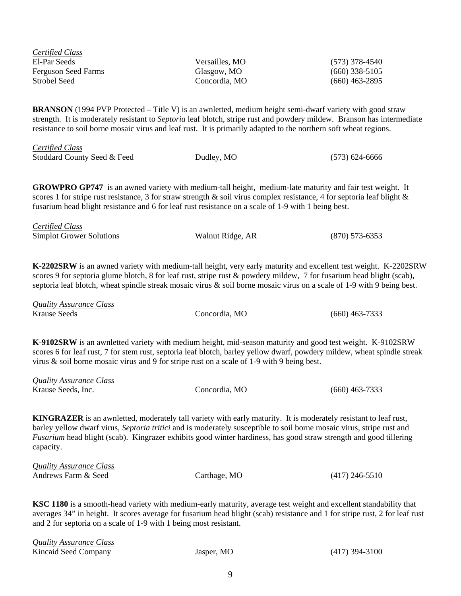| <b>Certified Class</b>                                                                                                                                                                                                                                                                                                                                                                                                                                           |                  |                    |  |  |
|------------------------------------------------------------------------------------------------------------------------------------------------------------------------------------------------------------------------------------------------------------------------------------------------------------------------------------------------------------------------------------------------------------------------------------------------------------------|------------------|--------------------|--|--|
| El-Par Seeds                                                                                                                                                                                                                                                                                                                                                                                                                                                     | Versailles, MO   | $(573)$ 378-4540   |  |  |
| <b>Ferguson Seed Farms</b>                                                                                                                                                                                                                                                                                                                                                                                                                                       | Glasgow, MO      | $(660)$ 338-5105   |  |  |
| <b>Strobel Seed</b>                                                                                                                                                                                                                                                                                                                                                                                                                                              | Concordia, MO    | $(660)$ 463-2895   |  |  |
|                                                                                                                                                                                                                                                                                                                                                                                                                                                                  |                  |                    |  |  |
| BRANSON (1994 PVP Protected – Title V) is an awnletted, medium height semi-dwarf variety with good straw<br>strength. It is moderately resistant to Septoria leaf blotch, stripe rust and powdery mildew. Branson has intermediate<br>resistance to soil borne mosaic virus and leaf rust. It is primarily adapted to the northern soft wheat regions.                                                                                                           |                  |                    |  |  |
| <b>Certified Class</b><br>Stoddard County Seed & Feed                                                                                                                                                                                                                                                                                                                                                                                                            | Dudley, MO       | $(573) 624 - 6666$ |  |  |
| <b>GROWPRO GP747</b> is an awned variety with medium-tall height, medium-late maturity and fair test weight. It<br>scores 1 for stripe rust resistance, 3 for straw strength & soil virus complex resistance, 4 for septoria leaf blight &<br>fusarium head blight resistance and 6 for leaf rust resistance on a scale of 1-9 with 1 being best.                                                                                                                |                  |                    |  |  |
| <b>Certified Class</b>                                                                                                                                                                                                                                                                                                                                                                                                                                           |                  |                    |  |  |
| <b>Simplot Grower Solutions</b>                                                                                                                                                                                                                                                                                                                                                                                                                                  | Walnut Ridge, AR | $(870)$ 573-6353   |  |  |
| K-2202SRW is an awned variety with medium-tall height, very early maturity and excellent test weight. K-2202SRW<br>scores 9 for septoria glume blotch, 8 for leaf rust, stripe rust & powdery mildew, 7 for fusarium head blight (scab),<br>septoria leaf blotch, wheat spindle streak mosaic virus & soil borne mosaic virus on a scale of 1-9 with 9 being best.<br><b>Quality Assurance Class</b><br><b>Krause Seeds</b><br>Concordia, MO<br>$(660)$ 463-7333 |                  |                    |  |  |
| K-9102SRW is an awnletted variety with medium height, mid-season maturity and good test weight. K-9102SRW<br>scores 6 for leaf rust, 7 for stem rust, septoria leaf blotch, barley yellow dwarf, powdery mildew, wheat spindle streak<br>virus $\&$ soil borne mosaic virus and 9 for stripe rust on a scale of 1-9 with 9 being best.                                                                                                                           |                  |                    |  |  |
| <b>Quality Assurance Class</b>                                                                                                                                                                                                                                                                                                                                                                                                                                   |                  |                    |  |  |
| Krause Seeds, Inc.                                                                                                                                                                                                                                                                                                                                                                                                                                               | Concordia, MO    | $(660)$ 463-7333   |  |  |
| <b>KINGRAZER</b> is an awnletted, moderately tall variety with early maturity. It is moderately resistant to leaf rust,<br>barley yellow dwarf virus, Septoria tritici and is moderately susceptible to soil borne mosaic virus, stripe rust and<br>Fusarium head blight (scab). Kingrazer exhibits good winter hardiness, has good straw strength and good tillering<br>capacity.                                                                               |                  |                    |  |  |
| <b>Quality Assurance Class</b>                                                                                                                                                                                                                                                                                                                                                                                                                                   |                  |                    |  |  |
| Andrews Farm & Seed                                                                                                                                                                                                                                                                                                                                                                                                                                              | Carthage, MO     | $(417)$ 246-5510   |  |  |
| <b>KSC 1180</b> is a smooth-head variety with medium-early maturity, average test weight and excellent standability that<br>averages 34" in height. It scores average for fusarium head blight (scab) resistance and 1 for stripe rust, 2 for leaf rust<br>and 2 for septoria on a scale of 1-9 with 1 being most resistant.                                                                                                                                     |                  |                    |  |  |

| Quality Assurance Class |            |                  |
|-------------------------|------------|------------------|
| Kincaid Seed Company    | Jasper, MO | $(417)$ 394-3100 |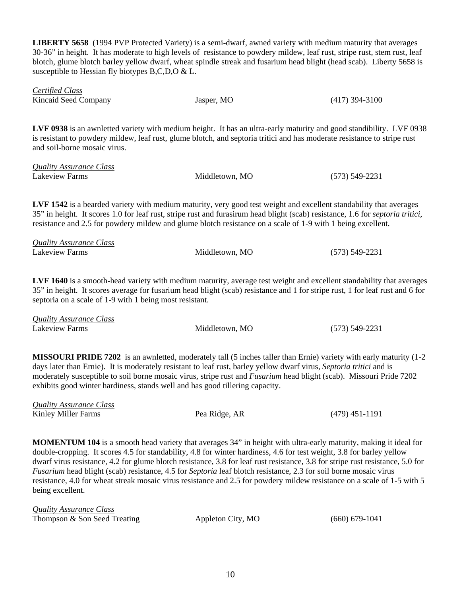**LIBERTY 5658** (1994 PVP Protected Variety) is a semi-dwarf, awned variety with medium maturity that averages 30-36" in height. It has moderate to high levels of resistance to powdery mildew, leaf rust, stripe rust, stem rust, leaf blotch, glume blotch barley yellow dwarf, wheat spindle streak and fusarium head blight (head scab). Liberty 5658 is susceptible to Hessian fly biotypes B,C,D,O & L.

| Certified Class      |            |                  |
|----------------------|------------|------------------|
| Kincaid Seed Company | Jasper, MO | $(417)$ 394-3100 |

**LVF 0938** is an awnletted variety with medium height. It has an ultra-early maturity and good standibility. LVF 0938 is resistant to powdery mildew, leaf rust, glume blotch, and septoria tritici and has moderate resistance to stripe rust and soil-borne mosaic virus.

| <b>Quality Assurance Class</b> |                |                    |
|--------------------------------|----------------|--------------------|
| Lakeview Farms                 | Middletown, MO | $(573) 549 - 2231$ |

**LVF 1542** is a bearded variety with medium maturity, very good test weight and excellent standability that averages 35" in height. It scores 1.0 for leaf rust, stripe rust and furasirum head blight (scab) resistance, 1.6 for *septoria tritici*, resistance and 2.5 for powdery mildew and glume blotch resistance on a scale of 1-9 with 1 being excellent.

| <b>Quality Assurance Class</b> |                |                    |
|--------------------------------|----------------|--------------------|
| Lakeview Farms                 | Middletown, MO | $(573) 549 - 2231$ |

**LVF 1640** is a smooth-head variety with medium maturity, average test weight and excellent standability that averages 35" in height. It scores average for fusarium head blight (scab) resistance and 1 for stripe rust, 1 for leaf rust and 6 for septoria on a scale of 1-9 with 1 being most resistant.

| <b>Quality Assurance Class</b> |                |                    |
|--------------------------------|----------------|--------------------|
| Lakeview Farms                 | Middletown, MO | $(573) 549 - 2231$ |

**MISSOURI PRIDE 7202** is an awnletted, moderately tall (5 inches taller than Ernie) variety with early maturity (1-2 days later than Ernie). It is moderately resistant to leaf rust, barley yellow dwarf virus, *Septoria tritici* and is moderately susceptible to soil borne mosaic virus, stripe rust and *Fusarium* head blight (scab). Missouri Pride 7202 exhibits good winter hardiness, stands well and has good tillering capacity.

| <b>Quality Assurance Class</b> |               |                  |
|--------------------------------|---------------|------------------|
| Kinley Miller Farms            | Pea Ridge, AR | $(479)$ 451-1191 |

**MOMENTUM 104** is a smooth head variety that averages 34" in height with ultra-early maturity, making it ideal for double-cropping. It scores 4.5 for standability, 4.8 for winter hardiness, 4.6 for test weight, 3.8 for barley yellow dwarf virus resistance, 4.2 for glume blotch resistance, 3.8 for leaf rust resistance, 3.8 for stripe rust resistance, 5.0 for *Fusarium* head blight (scab) resistance, 4.5 for *Septoria* leaf blotch resistance, 2.3 for soil borne mosaic virus resistance, 4.0 for wheat streak mosaic virus resistance and 2.5 for powdery mildew resistance on a scale of 1-5 with 5 being excellent.

| Quality Assurance Class      |                   |                  |
|------------------------------|-------------------|------------------|
| Thompson & Son Seed Treating | Appleton City, MO | $(660) 679-1041$ |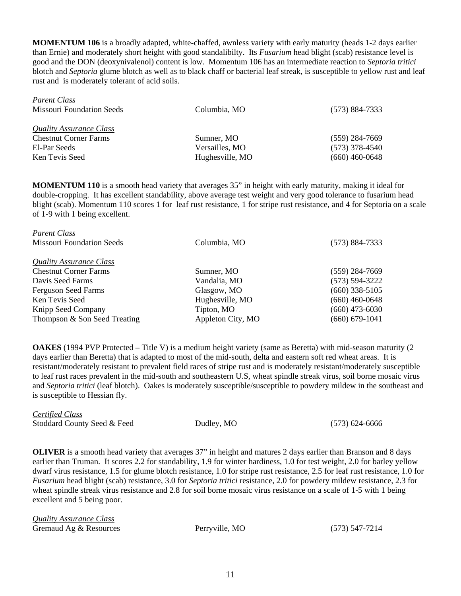**MOMENTUM 106** is a broadly adapted, white-chaffed, awnless variety with early maturity (heads 1-2 days earlier than Ernie) and moderately short height with good standalibilty. Its *Fusarium* head blight (scab) resistance level is good and the DON (deoxynivalenol) content is low. Momentum 106 has an intermediate reaction to *Septoria tritici* blotch and *Septoria* glume blotch as well as to black chaff or bacterial leaf streak, is susceptible to yellow rust and leaf rust and is moderately tolerant of acid soils.

|                 | $(573) 884 - 7333$ |
|-----------------|--------------------|
|                 |                    |
|                 |                    |
| Sumner, MO      | $(559)$ 284-7669   |
| Versailles, MO  | $(573)$ 378-4540   |
| Hughesville, MO | $(660)$ 460-0648   |
|                 | Columbia, MO       |

**MOMENTUM 110** is a smooth head variety that averages 35" in height with early maturity, making it ideal for double-cropping. It has excellent standability, above average test weight and very good tolerance to fusarium head blight (scab). Momentum 110 scores 1 for leaf rust resistance, 1 for stripe rust resistance, and 4 for Septoria on a scale of 1-9 with 1 being excellent.

| <b>Parent Class</b>              |                   |                    |
|----------------------------------|-------------------|--------------------|
| <b>Missouri Foundation Seeds</b> | Columbia, MO      | (573) 884-7333     |
| Quality Assurance Class          |                   |                    |
| <b>Chestnut Corner Farms</b>     | Sumner, MO        | $(559)$ 284-7669   |
| Davis Seed Farms                 | Vandalia, MO      | $(573) 594 - 3222$ |
| <b>Ferguson Seed Farms</b>       | Glasgow, MO       | $(660)$ 338-5105   |
| Ken Tevis Seed                   | Hughesville, MO   | $(660)$ 460-0648   |
| Knipp Seed Company               | Tipton, MO        | $(660)$ 473-6030   |
| Thompson & Son Seed Treating     | Appleton City, MO | $(660) 679-1041$   |
|                                  |                   |                    |

**OAKES** (1994 PVP Protected – Title V) is a medium height variety (same as Beretta) with mid-season maturity (2 days earlier than Beretta) that is adapted to most of the mid-south, delta and eastern soft red wheat areas. It is resistant/moderately resistant to prevalent field races of stripe rust and is moderately resistant/moderately susceptible to leaf rust races prevalent in the mid-south and southeastern U.S, wheat spindle streak virus, soil borne mosaic virus and *Septoria tritici* (leaf blotch). Oakes is moderately susceptible/susceptible to powdery mildew in the southeast and is susceptible to Hessian fly.

*Certified Class*  Stoddard County Seed & Feed Dudley, MO (573) 624-6666

*Parent Class* 

**OLIVER** is a smooth head variety that averages 37" in height and matures 2 days earlier than Branson and 8 days earlier than Truman. It scores 2.2 for standability, 1.9 for winter hardiness, 1.0 for test weight, 2.0 for barley yellow dwarf virus resistance, 1.5 for glume blotch resistance, 1.0 for stripe rust resistance, 2.5 for leaf rust resistance, 1.0 for *Fusarium* head blight (scab) resistance, 3.0 for *Septoria tritici* resistance, 2.0 for powdery mildew resistance, 2.3 for wheat spindle streak virus resistance and 2.8 for soil borne mosaic virus resistance on a scale of 1-5 with 1 being excellent and 5 being poor.

| <b>Quality Assurance Class</b> |                |                |
|--------------------------------|----------------|----------------|
| Gremaud Ag & Resources         | Perryville, MO | (573) 547-7214 |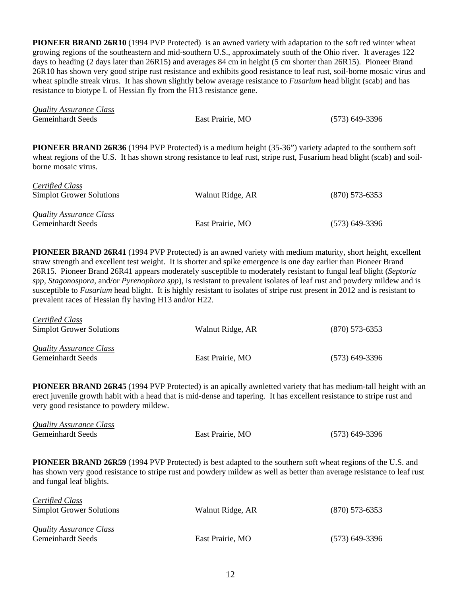**PIONEER BRAND 26R10** (1994 PVP Protected) is an awned variety with adaptation to the soft red winter wheat growing regions of the southeastern and mid-southern U.S., approximately south of the Ohio river. It averages 122 days to heading (2 days later than 26R15) and averages 84 cm in height (5 cm shorter than 26R15). Pioneer Brand 26R10 has shown very good stripe rust resistance and exhibits good resistance to leaf rust, soil-borne mosaic virus and wheat spindle streak virus. It has shown slightly below average resistance to *Fusarium* head blight (scab) and has resistance to biotype L of Hessian fly from the H13 resistance gene.

| <b>Quality Assurance Class</b> |                  |                  |
|--------------------------------|------------------|------------------|
| Gemeinhardt Seeds              | East Prairie, MO | $(573)$ 649-3396 |

**PIONEER BRAND 26R36** (1994 PVP Protected) is a medium height (35-36") variety adapted to the southern soft wheat regions of the U.S. It has shown strong resistance to leaf rust, stripe rust, Fusarium head blight (scab) and soilborne mosaic virus.

| <b>Certified Class</b><br><b>Simplot Grower Solutions</b> | Walnut Ridge, AR | $(870)$ 573-6353 |
|-----------------------------------------------------------|------------------|------------------|
| Quality Assurance Class<br>Gemeinhardt Seeds              | East Prairie, MO | $(573)$ 649-3396 |

**PIONEER BRAND 26R41** (1994 PVP Protected) is an awned variety with medium maturity, short height, excellent straw strength and excellent test weight. It is shorter and spike emergence is one day earlier than Pioneer Brand 26R15. Pioneer Brand 26R41 appears moderately susceptible to moderately resistant to fungal leaf blight (*Septoria spp, Stagonospora,* and/or *Pyrenophora spp*), is resistant to prevalent isolates of leaf rust and powdery mildew and is susceptible to *Fusarium* head blight. It is highly resistant to isolates of stripe rust present in 2012 and is resistant to prevalent races of Hessian fly having H13 and/or H22.

| Certified Class<br>Simplot Grower Solutions  | Walnut Ridge, AR | $(870)$ 573-6353 |
|----------------------------------------------|------------------|------------------|
| Quality Assurance Class<br>Gemeinhardt Seeds | East Prairie, MO | $(573)$ 649-3396 |

 $C \cdot C \cdot L C l$ 

**PIONEER BRAND 26R45** (1994 PVP Protected) is an apically awnletted variety that has medium-tall height with an erect juvenile growth habit with a head that is mid-dense and tapering. It has excellent resistance to stripe rust and very good resistance to powdery mildew.

| <b>Quality Assurance Class</b> |                                                                                                                         |                  |
|--------------------------------|-------------------------------------------------------------------------------------------------------------------------|------------------|
| Gemeinhardt Seeds              | East Prairie, MO                                                                                                        | $(573)$ 649-3396 |
|                                |                                                                                                                         |                  |
|                                | <b>PIONEER BRAND 26R59</b> (1994 PVP Protected) is best adapted to the southern soft wheat regions of the U.S. and      |                  |
|                                | has shown very good resistance to stripe rust and powdery mildew as well as better than average resistance to leaf rust |                  |
| and fungal leaf blights.       |                                                                                                                         |                  |
| Certified Class                |                                                                                                                         |                  |

| <b>Simplot Grower Solutions</b>       | Walnut Ridge, AR | $(870)$ 573-6353 |
|---------------------------------------|------------------|------------------|
| <i><b>Ouality Assurance Class</b></i> |                  |                  |
| Gemeinhardt Seeds                     | East Prairie, MO | $(573)$ 649-3396 |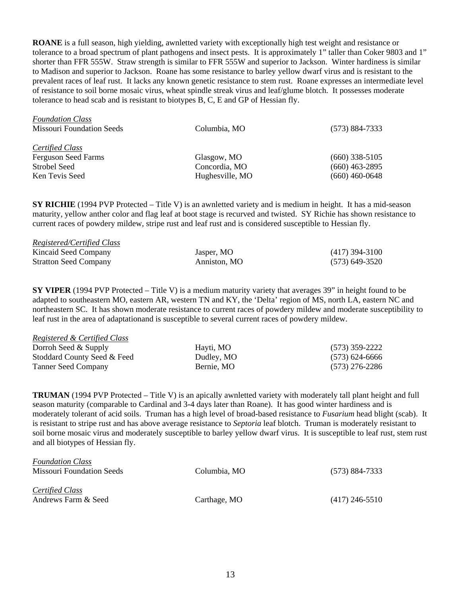**ROANE** is a full season, high yielding, awnletted variety with exceptionally high test weight and resistance or tolerance to a broad spectrum of plant pathogens and insect pests. It is approximately 1" taller than Coker 9803 and 1" shorter than FFR 555W. Straw strength is similar to FFR 555W and superior to Jackson. Winter hardiness is similar to Madison and superior to Jackson. Roane has some resistance to barley yellow dwarf virus and is resistant to the prevalent races of leaf rust. It lacks any known genetic resistance to stem rust. Roane expresses an intermediate level of resistance to soil borne mosaic virus, wheat spindle streak virus and leaf/glume blotch. It possesses moderate tolerance to head scab and is resistant to biotypes B, C, E and GP of Hessian fly.

| <b>Foundation Class</b><br><b>Missouri Foundation Seeds</b>                     | Columbia, MO                                    | $(573) 884 - 7333$                                       |
|---------------------------------------------------------------------------------|-------------------------------------------------|----------------------------------------------------------|
| Certified Class<br><b>Ferguson Seed Farms</b><br>Strobel Seed<br>Ken Tevis Seed | Glasgow, MO<br>Concordia, MO<br>Hughesville, MO | $(660)$ 338-5105<br>$(660)$ 463-2895<br>$(660)$ 460-0648 |

**SY RICHIE** (1994 PVP Protected – Title V) is an awnletted variety and is medium in height. It has a mid-season maturity, yellow anther color and flag leaf at boot stage is recurved and twisted. SY Richie has shown resistance to current races of powdery mildew, stripe rust and leaf rust and is considered susceptible to Hessian fly.

| <b>Registered/Certified Class</b> |              |                  |
|-----------------------------------|--------------|------------------|
| Kincaid Seed Company              | Jasper, MO   | $(417)$ 394-3100 |
| <b>Stratton Seed Company</b>      | Anniston, MO | $(573)$ 649-3520 |

**SY VIPER** (1994 PVP Protected – Title V) is a medium maturity variety that averages 39" in height found to be adapted to southeastern MO, eastern AR, western TN and KY, the 'Delta' region of MS, north LA, eastern NC and northeastern SC. It has shown moderate resistance to current races of powdery mildew and moderate susceptibility to leaf rust in the area of adaptationand is susceptible to several current races of powdery mildew.

| <b>Registered &amp; Certified Class</b> |            |                  |
|-----------------------------------------|------------|------------------|
| Dorroh Seed $&$ Supply                  | Hayti, MO  | $(573)$ 359-2222 |
| Stoddard County Seed & Feed             | Dudley, MO | $(573)$ 624-6666 |
| <b>Tanner Seed Company</b>              | Bernie, MO | $(573)$ 276-2286 |

**TRUMAN** (1994 PVP Protected – Title V) is an apically awnletted variety with moderately tall plant height and full season maturity (comparable to Cardinal and 3-4 days later than Roane). It has good winter hardiness and is moderately tolerant of acid soils. Truman has a high level of broad-based resistance to *Fusarium* head blight (scab). It is resistant to stripe rust and has above average resistance to *Septoria* leaf blotch. Truman is moderately resistant to soil borne mosaic virus and moderately susceptible to barley yellow dwarf virus. It is susceptible to leaf rust, stem rust and all biotypes of Hessian fly.

| <b>Foundation Class</b>   |              |                    |
|---------------------------|--------------|--------------------|
| Missouri Foundation Seeds | Columbia, MO | $(573) 884 - 7333$ |
|                           |              |                    |
| Certified Class           |              |                    |
| Andrews Farm & Seed       | Carthage, MO | $(417)$ 246-5510   |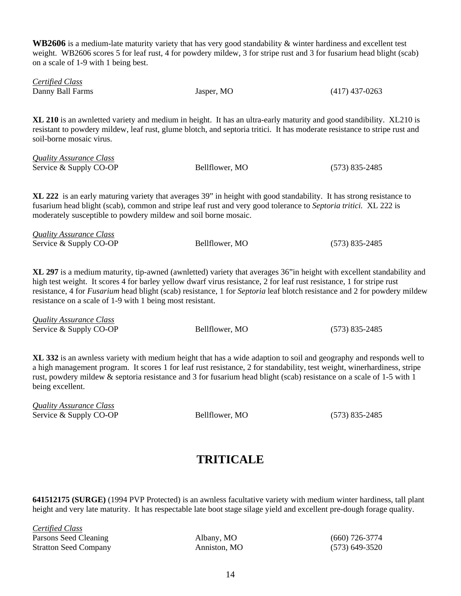**WB2606** is a medium-late maturity variety that has very good standability & winter hardiness and excellent test weight. WB2606 scores 5 for leaf rust, 4 for powdery mildew, 3 for stripe rust and 3 for fusarium head blight (scab) on a scale of 1-9 with 1 being best.

| <b>Certified Class</b> |            |                  |
|------------------------|------------|------------------|
| Danny Ball Farms       | Jasper, MO | $(417)$ 437-0263 |

**XL 210** is an awnletted variety and medium in height. It has an ultra-early maturity and good standibility. XL210 is resistant to powdery mildew, leaf rust, glume blotch, and septoria tritici. It has moderate resistance to stripe rust and soil-borne mosaic virus.

| Quality Assurance Class |                |                  |
|-------------------------|----------------|------------------|
| Service & Supply CO-OP  | Bellflower, MO | $(573)$ 835-2485 |

**XL 222** is an early maturing variety that averages 39" in height with good standability. It has strong resistance to fusarium head blight (scab), common and stripe leaf rust and very good tolerance to *Septoria tritici.* XL 222 is moderately susceptible to powdery mildew and soil borne mosaic.

| <b>Quality Assurance Class</b> |                |                  |
|--------------------------------|----------------|------------------|
| Service & Supply CO-OP         | Bellflower, MO | $(573)$ 835-2485 |

**XL 297** is a medium maturity, tip-awned (awnletted) variety that averages 36"in height with excellent standability and high test weight. It scores 4 for barley yellow dwarf virus resistance, 2 for leaf rust resistance, 1 for stripe rust resistance, 4 for *Fusarium* head blight (scab) resistance, 1 for *Septoria* leaf blotch resistance and 2 for powdery mildew resistance on a scale of 1-9 with 1 being most resistant.

*Quality Assurance Class*  Service & Supply CO-OP Bellflower, MO (573) 835-2485

**XL 332** is an awnless variety with medium height that has a wide adaption to soil and geography and responds well to a high management program. It scores 1 for leaf rust resistance, 2 for standability, test weight, winerhardiness, stripe rust, powdery mildew & septoria resistance and 3 for fusarium head blight (scab) resistance on a scale of 1-5 with 1 being excellent.

*Quality Assurance Class*  Service & Supply CO-OP Bellflower, MO (573) 835-2485

## **TRITICALE**

**641512175 (SURGE)** (1994 PVP Protected) is an awnless facultative variety with medium winter hardiness, tall plant height and very late maturity. It has respectable late boot stage silage yield and excellent pre-dough forage quality.

| <u>Certified Class</u>       |              |                  |
|------------------------------|--------------|------------------|
| Parsons Seed Cleaning        | Albany, MO   | $(660)$ 726-3774 |
| <b>Stratton Seed Company</b> | Anniston, MO | $(573)$ 649-3520 |